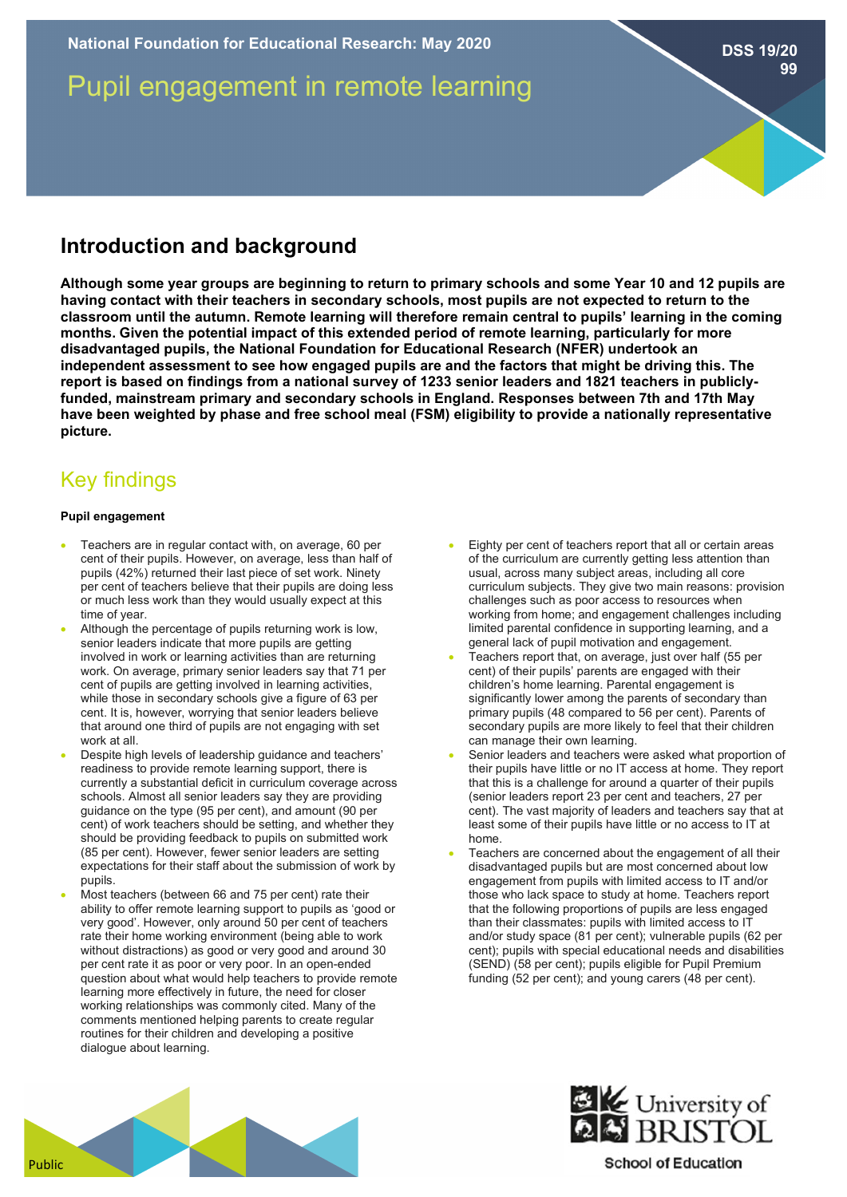Pupil engagement in remote learning

**Introduction and background**

**Although some year groups are beginning to return to primary schools and some Year 10 and 12 pupils are having contact with their teachers in secondary schools, most pupils are not expected to return to the classroom until the autumn. Remote learning will therefore remain central to pupils' learning in the coming months. Given the potential impact of this extended period of remote learning, particularly for more disadvantaged pupils, the National Foundation for Educational Research (NFER) undertook an independent assessment to see how engaged pupils are and the factors that might be driving this. The report is based on findings from a national survey of 1233 senior leaders and 1821 teachers in publiclyfunded, mainstream primary and secondary schools in England. Responses between 7th and 17th May have been weighted by phase and free school meal (FSM) eligibility to provide a nationally representative picture.**

# Key findings

### **Pupil engagement**

- Teachers are in regular contact with, on average, 60 per cent of their pupils. However, on average, less than half of pupils (42%) returned their last piece of set work. Ninety per cent of teachers believe that their pupils are doing less or much less work than they would usually expect at this time of year.
- Although the percentage of pupils returning work is low, senior leaders indicate that more pupils are getting involved in work or learning activities than are returning work. On average, primary senior leaders say that 71 per cent of pupils are getting involved in learning activities, while those in secondary schools give a figure of 63 per cent. It is, however, worrying that senior leaders believe that around one third of pupils are not engaging with set work at all.
- Despite high levels of leadership guidance and teachers' readiness to provide remote learning support, there is currently a substantial deficit in curriculum coverage across schools. Almost all senior leaders say they are providing guidance on the type (95 per cent), and amount (90 per cent) of work teachers should be setting, and whether they should be providing feedback to pupils on submitted work (85 per cent). However, fewer senior leaders are setting expectations for their staff about the submission of work by pupils.
- Most teachers (between 66 and 75 per cent) rate their ability to offer remote learning support to pupils as 'good or very good'. However, only around 50 per cent of teachers rate their home working environment (being able to work without distractions) as good or very good and around 30 per cent rate it as poor or very poor. In an open-ended question about what would help teachers to provide remote learning more effectively in future, the need for closer working relationships was commonly cited. Many of the comments mentioned helping parents to create regular routines for their children and developing a positive dialogue about learning.
- Eighty per cent of teachers report that all or certain areas of the curriculum are currently getting less attention than usual, across many subject areas, including all core curriculum subjects. They give two main reasons: provision challenges such as poor access to resources when working from home; and engagement challenges including limited parental confidence in supporting learning, and a general lack of pupil motivation and engagement.
- Teachers report that, on average, just over half (55 per cent) of their pupils' parents are engaged with their children's home learning. Parental engagement is significantly lower among the parents of secondary than primary pupils (48 compared to 56 per cent). Parents of secondary pupils are more likely to feel that their children can manage their own learning.
- Senior leaders and teachers were asked what proportion of their pupils have little or no IT access at home. They report that this is a challenge for around a quarter of their pupils (senior leaders report 23 per cent and teachers, 27 per cent). The vast majority of leaders and teachers say that at least some of their pupils have little or no access to IT at home.
- Teachers are concerned about the engagement of all their disadvantaged pupils but are most concerned about low engagement from pupils with limited access to IT and/or those who lack space to study at home. Teachers report that the following proportions of pupils are less engaged than their classmates: pupils with limited access to IT and/or study space (81 per cent); vulnerable pupils (62 per cent); pupils with special educational needs and disabilities (SEND) (58 per cent); pupils eligible for Pupil Premium funding (52 per cent); and young carers (48 per cent).



**EXACTE University of** 

## **School of Education**

**DSS 19/20**

**99**